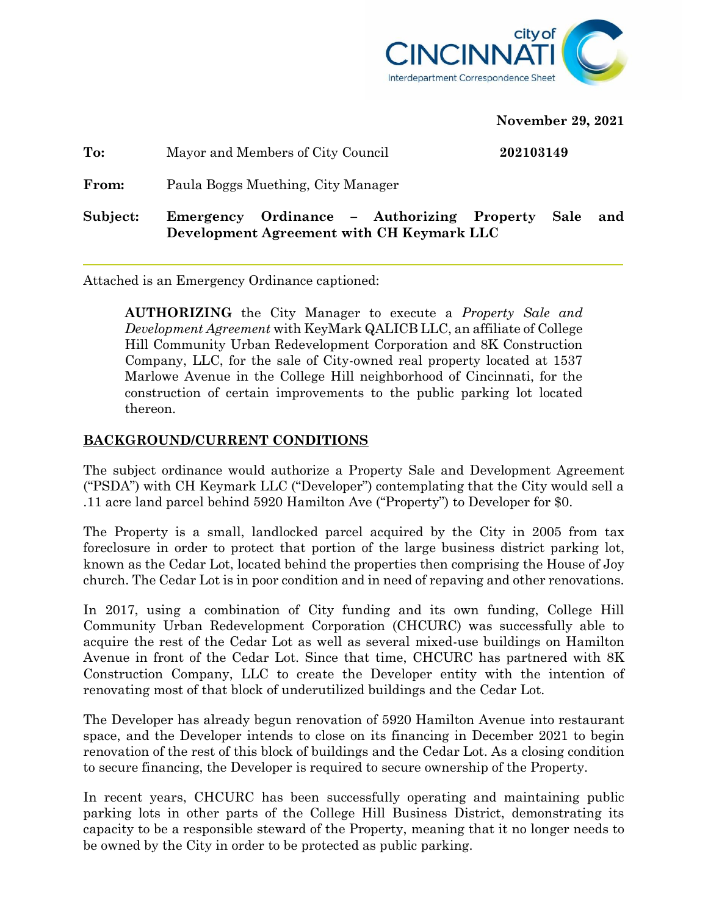

**November 29, 2021**

| To:      | Mayor and Members of City Council                                                       | 202103149 |             |
|----------|-----------------------------------------------------------------------------------------|-----------|-------------|
| From:    | Paula Boggs Muething, City Manager                                                      |           |             |
| Subject: | Emergency Ordinance - Authorizing Property<br>Development Agreement with CH Keymark LLC |           | Sale<br>and |

Attached is an Emergency Ordinance captioned:

**AUTHORIZING** the City Manager to execute a *Property Sale and Development Agreement* with KeyMark QALICB LLC, an affiliate of College Hill Community Urban Redevelopment Corporation and 8K Construction Company, LLC, for the sale of City-owned real property located at 1537 Marlowe Avenue in the College Hill neighborhood of Cincinnati, for the construction of certain improvements to the public parking lot located thereon.

# **BACKGROUND/CURRENT CONDITIONS**

The subject ordinance would authorize a Property Sale and Development Agreement ("PSDA") with CH Keymark LLC ("Developer") contemplating that the City would sell a .11 acre land parcel behind 5920 Hamilton Ave ("Property") to Developer for \$0.

The Property is a small, landlocked parcel acquired by the City in 2005 from tax foreclosure in order to protect that portion of the large business district parking lot, known as the Cedar Lot, located behind the properties then comprising the House of Joy church. The Cedar Lot is in poor condition and in need of repaving and other renovations.

In 2017, using a combination of City funding and its own funding, College Hill Community Urban Redevelopment Corporation (CHCURC) was successfully able to acquire the rest of the Cedar Lot as well as several mixed-use buildings on Hamilton Avenue in front of the Cedar Lot. Since that time, CHCURC has partnered with 8K Construction Company, LLC to create the Developer entity with the intention of renovating most of that block of underutilized buildings and the Cedar Lot.

The Developer has already begun renovation of 5920 Hamilton Avenue into restaurant space, and the Developer intends to close on its financing in December 2021 to begin renovation of the rest of this block of buildings and the Cedar Lot. As a closing condition to secure financing, the Developer is required to secure ownership of the Property.

In recent years, CHCURC has been successfully operating and maintaining public parking lots in other parts of the College Hill Business District, demonstrating its capacity to be a responsible steward of the Property, meaning that it no longer needs to be owned by the City in order to be protected as public parking.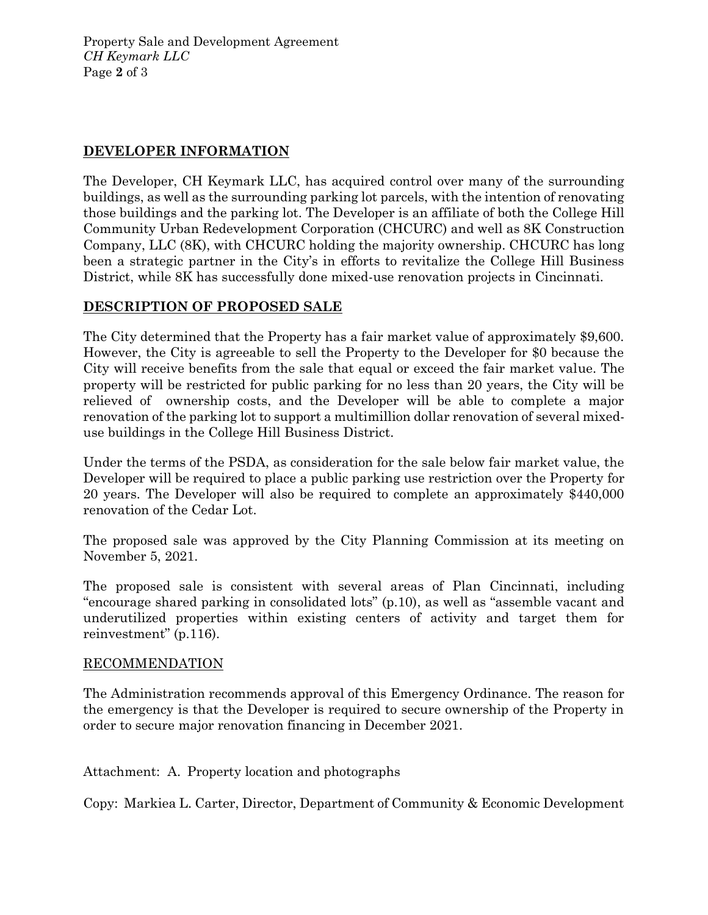Property Sale and Development Agreement *CH Keymark LLC* Page **2** of 3

# **DEVELOPER INFORMATION**

The Developer, CH Keymark LLC, has acquired control over many of the surrounding buildings, as well as the surrounding parking lot parcels, with the intention of renovating those buildings and the parking lot. The Developer is an affiliate of both the College Hill Community Urban Redevelopment Corporation (CHCURC) and well as 8K Construction Company, LLC (8K), with CHCURC holding the majority ownership. CHCURC has long been a strategic partner in the City's in efforts to revitalize the College Hill Business District, while 8K has successfully done mixed-use renovation projects in Cincinnati.

# **DESCRIPTION OF PROPOSED SALE**

The City determined that the Property has a fair market value of approximately \$9,600. However, the City is agreeable to sell the Property to the Developer for \$0 because the City will receive benefits from the sale that equal or exceed the fair market value. The property will be restricted for public parking for no less than 20 years, the City will be relieved of ownership costs, and the Developer will be able to complete a major renovation of the parking lot to support a multimillion dollar renovation of several mixeduse buildings in the College Hill Business District.

Under the terms of the PSDA, as consideration for the sale below fair market value, the Developer will be required to place a public parking use restriction over the Property for 20 years. The Developer will also be required to complete an approximately \$440,000 renovation of the Cedar Lot.

The proposed sale was approved by the City Planning Commission at its meeting on November 5, 2021.

The proposed sale is consistent with several areas of Plan Cincinnati, including "encourage shared parking in consolidated lots" (p.10), as well as "assemble vacant and underutilized properties within existing centers of activity and target them for reinvestment" (p.116).

### RECOMMENDATION

The Administration recommends approval of this Emergency Ordinance. The reason for the emergency is that the Developer is required to secure ownership of the Property in order to secure major renovation financing in December 2021.

### Attachment: A. Property location and photographs

Copy: Markiea L. Carter, Director, Department of Community & Economic Development